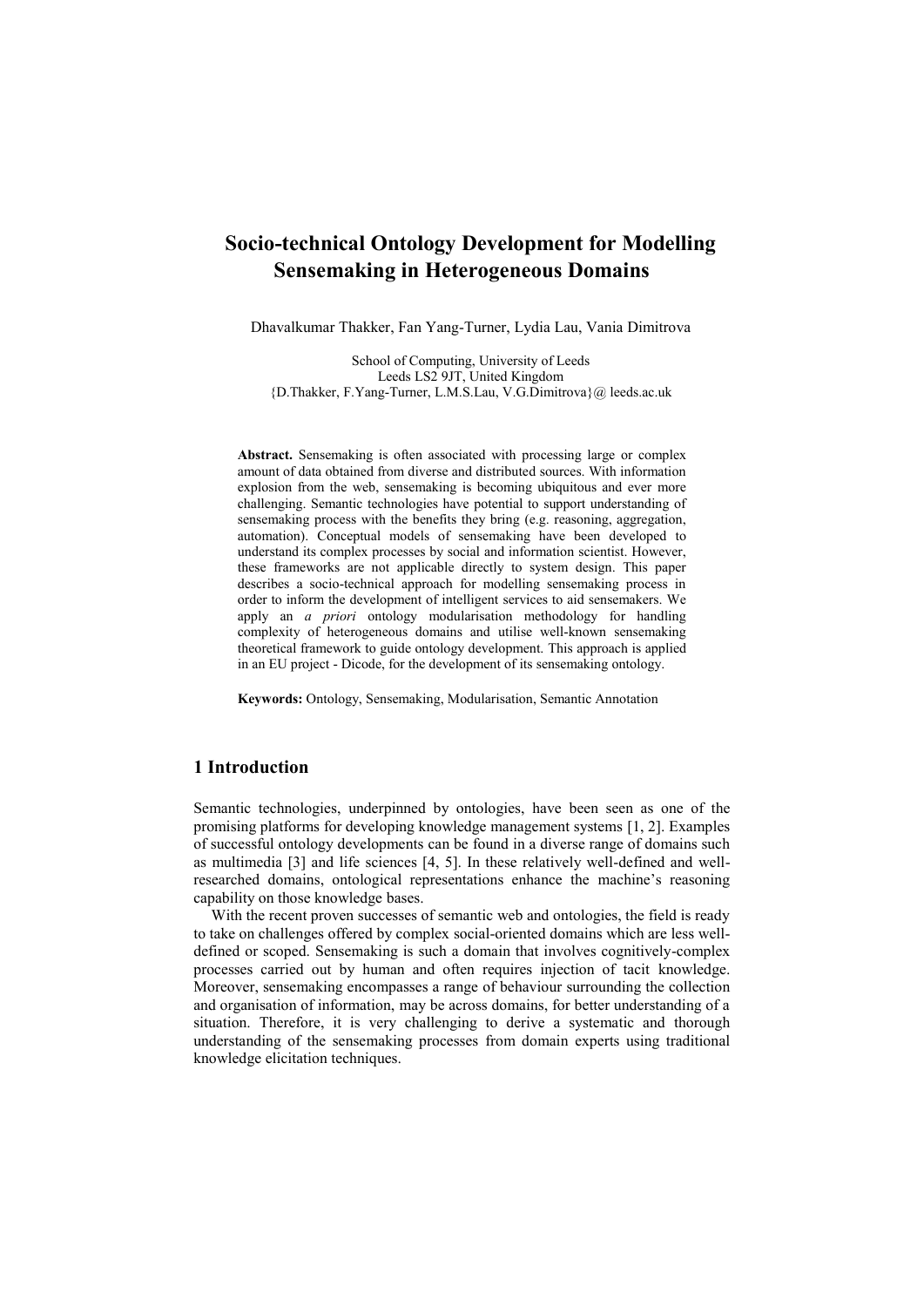# **Socio-technical Ontology Development for Modelling Sensemaking in Heterogeneous Domains**

Dhavalkumar Thakker, Fan Yang-Turner, Lydia Lau, Vania Dimitrova

School of Computing, University of Leeds Leeds LS2 9JT, United Kingdom {D.Thakker, F.Yang-Turner, L.M.S.Lau, V.G.Dimitrova}@ leeds.ac.uk

**Abstract.** Sensemaking is often associated with processing large or complex amount of data obtained from diverse and distributed sources. With information explosion from the web, sensemaking is becoming ubiquitous and ever more challenging. Semantic technologies have potential to support understanding of sensemaking process with the benefits they bring (e.g. reasoning, aggregation, automation). Conceptual models of sensemaking have been developed to understand its complex processes by social and information scientist. However, these frameworks are not applicable directly to system design. This paper describes a socio-technical approach for modelling sensemaking process in order to inform the development of intelligent services to aid sensemakers. We apply an *a priori* ontology modularisation methodology for handling complexity of heterogeneous domains and utilise well-known sensemaking theoretical framework to guide ontology development. This approach is applied in an EU project - Dicode, for the development of its sensemaking ontology.

**Keywords:** Ontology, Sensemaking, Modularisation, Semantic Annotation

### **1 Introduction**

Semantic technologies, underpinned by ontologies, have been seen as one of the promising platforms for developing knowledge management systems [1, 2]. Examples of successful ontology developments can be found in a diverse range of domains such as multimedia [3] and life sciences [4, 5]. In these relatively well-defined and wellresearched domains, ontological representations enhance the machine's reasoning capability on those knowledge bases.

With the recent proven successes of semantic web and ontologies, the field is ready to take on challenges offered by complex social-oriented domains which are less welldefined or scoped. Sensemaking is such a domain that involves cognitively-complex processes carried out by human and often requires injection of tacit knowledge. Moreover, sensemaking encompasses a range of behaviour surrounding the collection and organisation of information, may be across domains, for better understanding of a situation. Therefore, it is very challenging to derive a systematic and thorough understanding of the sensemaking processes from domain experts using traditional knowledge elicitation techniques.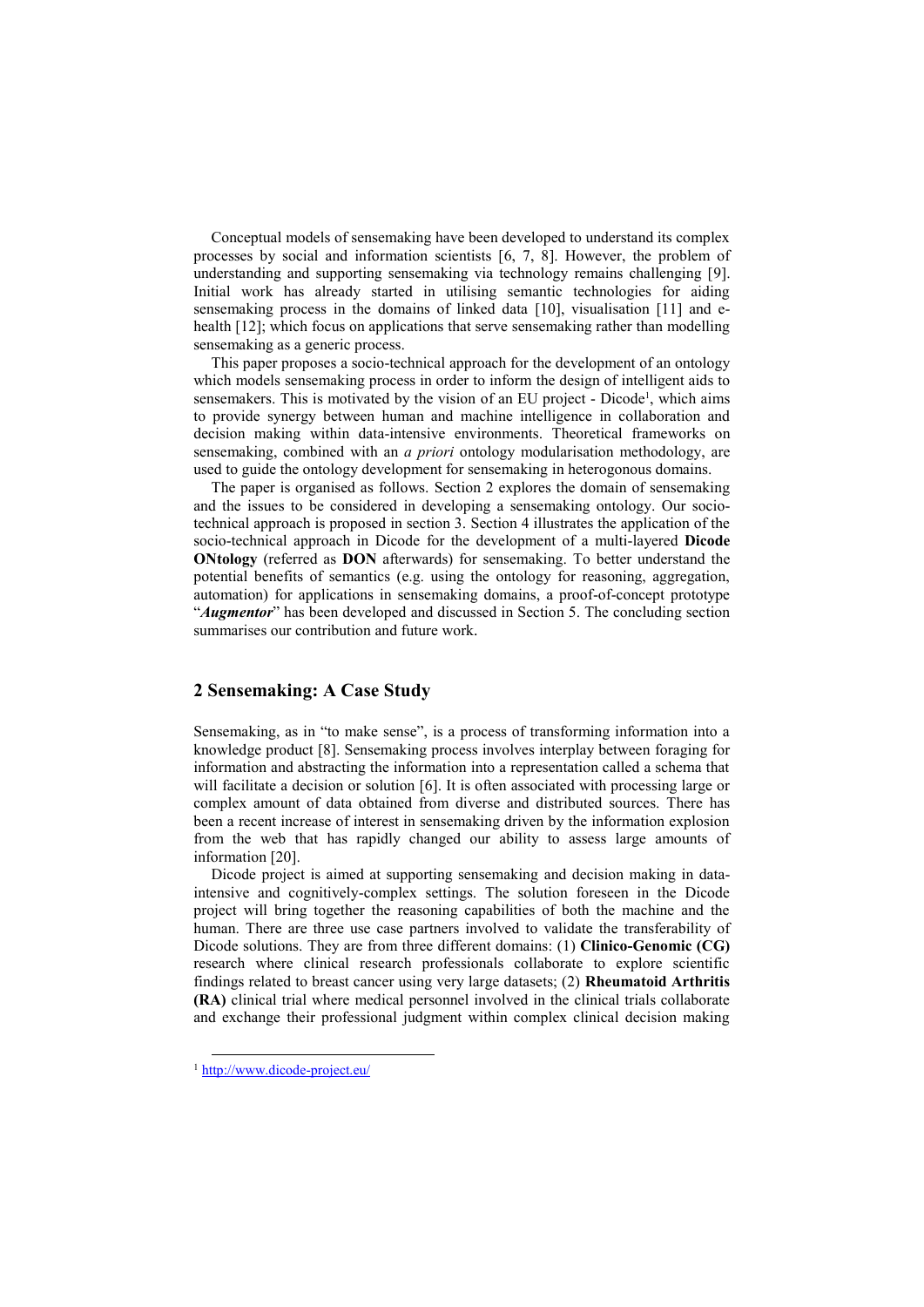Conceptual models of sensemaking have been developed to understand its complex processes by social and information scientists [6, 7, 8]. However, the problem of understanding and supporting sensemaking via technology remains challenging [9]. Initial work has already started in utilising semantic technologies for aiding sensemaking process in the domains of linked data [10], visualisation [11] and ehealth [12]; which focus on applications that serve sensemaking rather than modelling sensemaking as a generic process.

This paper proposes a socio-technical approach for the development of an ontology which models sensemaking process in order to inform the design of intelligent aids to sensemakers. This is motivated by the vision of an EU project - Dicode<sup>1</sup>, which aims to provide synergy between human and machine intelligence in collaboration and decision making within data-intensive environments. Theoretical frameworks on sensemaking, combined with an *a priori* ontology modularisation methodology, are used to guide the ontology development for sensemaking in heterogonous domains.

The paper is organised as follows. Section 2 explores the domain of sensemaking and the issues to be considered in developing a sensemaking ontology. Our sociotechnical approach is proposed in section 3. Section 4 illustrates the application of the socio-technical approach in Dicode for the development of a multi-layered **Dicode ONtology** (referred as **DON** afterwards) for sensemaking. To better understand the potential benefits of semantics (e.g. using the ontology for reasoning, aggregation, automation) for applications in sensemaking domains, a proof-of-concept prototype "*Augmentor*" has been developed and discussed in Section 5. The concluding section summarises our contribution and future work.

## **2 Sensemaking: A Case Study**

Sensemaking, as in "to make sense", is a process of transforming information into a knowledge product [8]. Sensemaking process involves interplay between foraging for information and abstracting the information into a representation called a schema that will facilitate a decision or solution [6]. It is often associated with processing large or complex amount of data obtained from diverse and distributed sources. There has been a recent increase of interest in sensemaking driven by the information explosion from the web that has rapidly changed our ability to assess large amounts of information [20].

Dicode project is aimed at supporting sensemaking and decision making in dataintensive and cognitively-complex settings. The solution foreseen in the Dicode project will bring together the reasoning capabilities of both the machine and the human. There are three use case partners involved to validate the transferability of Dicode solutions. They are from three different domains: (1) **Clinico-Genomic (CG)** research where clinical research professionals collaborate to explore scientific findings related to breast cancer using very large datasets; (2) **Rheumatoid Arthritis (RA)** clinical trial where medical personnel involved in the clinical trials collaborate and exchange their professional judgment within complex clinical decision making

<sup>1</sup> <http://www.dicode-project.eu/>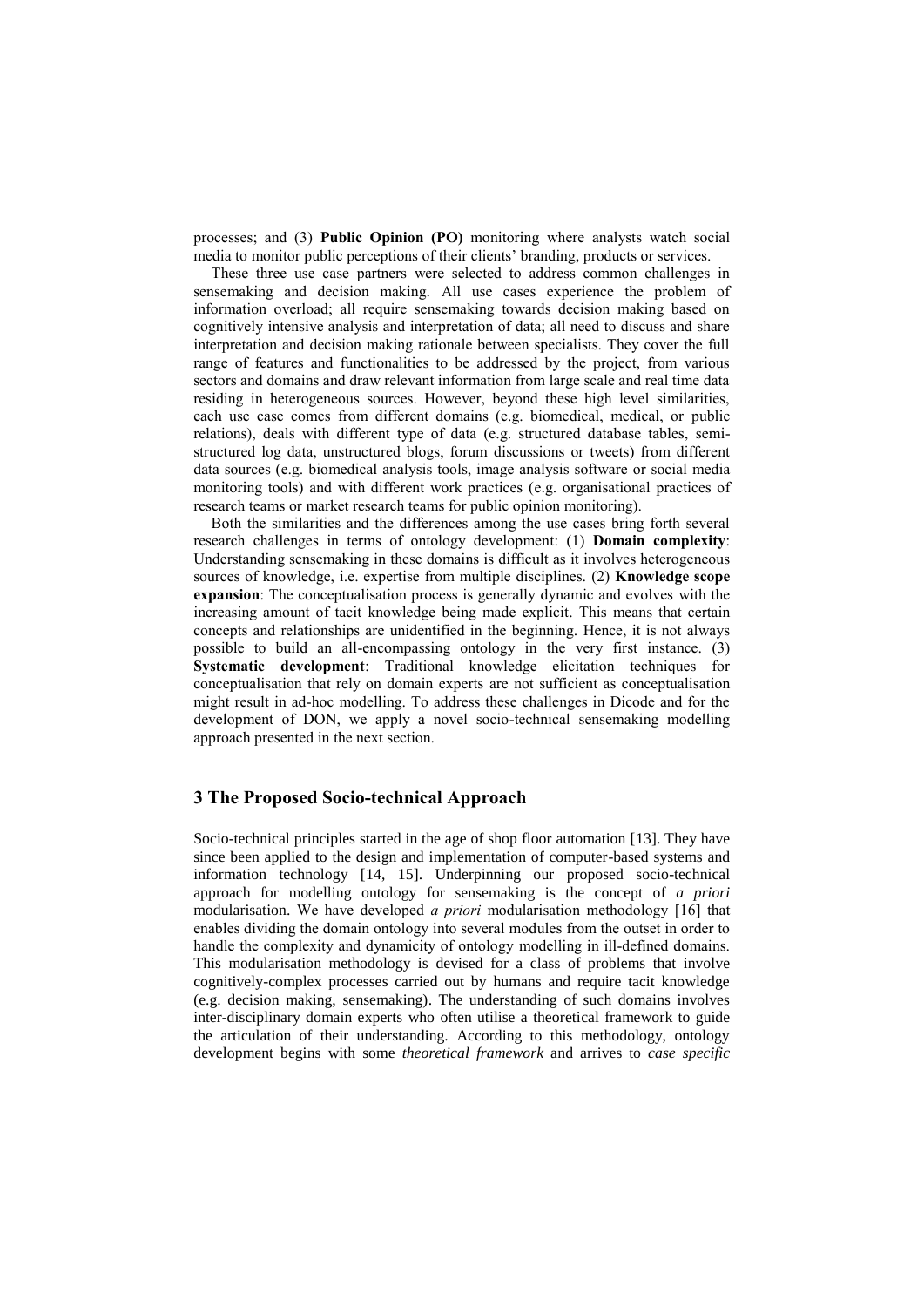processes; and (3) **Public Opinion (PO)** monitoring where analysts watch social media to monitor public perceptions of their clients' branding, products or services.

These three use case partners were selected to address common challenges in sensemaking and decision making. All use cases experience the problem of information overload; all require sensemaking towards decision making based on cognitively intensive analysis and interpretation of data; all need to discuss and share interpretation and decision making rationale between specialists. They cover the full range of features and functionalities to be addressed by the project, from various sectors and domains and draw relevant information from large scale and real time data residing in heterogeneous sources. However, beyond these high level similarities, each use case comes from different domains (e.g. biomedical, medical, or public relations), deals with different type of data (e.g. structured database tables, semistructured log data, unstructured blogs, forum discussions or tweets) from different data sources (e.g. biomedical analysis tools, image analysis software or social media monitoring tools) and with different work practices (e.g. organisational practices of research teams or market research teams for public opinion monitoring).

Both the similarities and the differences among the use cases bring forth several research challenges in terms of ontology development: (1) **Domain complexity**: Understanding sensemaking in these domains is difficult as it involves heterogeneous sources of knowledge, i.e. expertise from multiple disciplines. (2) **Knowledge scope expansion**: The conceptualisation process is generally dynamic and evolves with the increasing amount of tacit knowledge being made explicit. This means that certain concepts and relationships are unidentified in the beginning. Hence, it is not always possible to build an all-encompassing ontology in the very first instance. (3) **Systematic development**: Traditional knowledge elicitation techniques for conceptualisation that rely on domain experts are not sufficient as conceptualisation might result in ad-hoc modelling. To address these challenges in Dicode and for the development of DON, we apply a novel socio-technical sensemaking modelling approach presented in the next section.

### **3 The Proposed Socio-technical Approach**

Socio-technical principles started in the age of shop floor automation [13]. They have since been applied to the design and implementation of computer-based systems and information technology [14, 15]. Underpinning our proposed socio-technical approach for modelling ontology for sensemaking is the concept of *a priori*  modularisation. We have developed *a priori* modularisation methodology [16] that enables dividing the domain ontology into several modules from the outset in order to handle the complexity and dynamicity of ontology modelling in ill-defined domains. This modularisation methodology is devised for a class of problems that involve cognitively-complex processes carried out by humans and require tacit knowledge (e.g. decision making, sensemaking). The understanding of such domains involves inter-disciplinary domain experts who often utilise a theoretical framework to guide the articulation of their understanding. According to this methodology, ontology development begins with some *theoretical framework* and arrives to *case specific*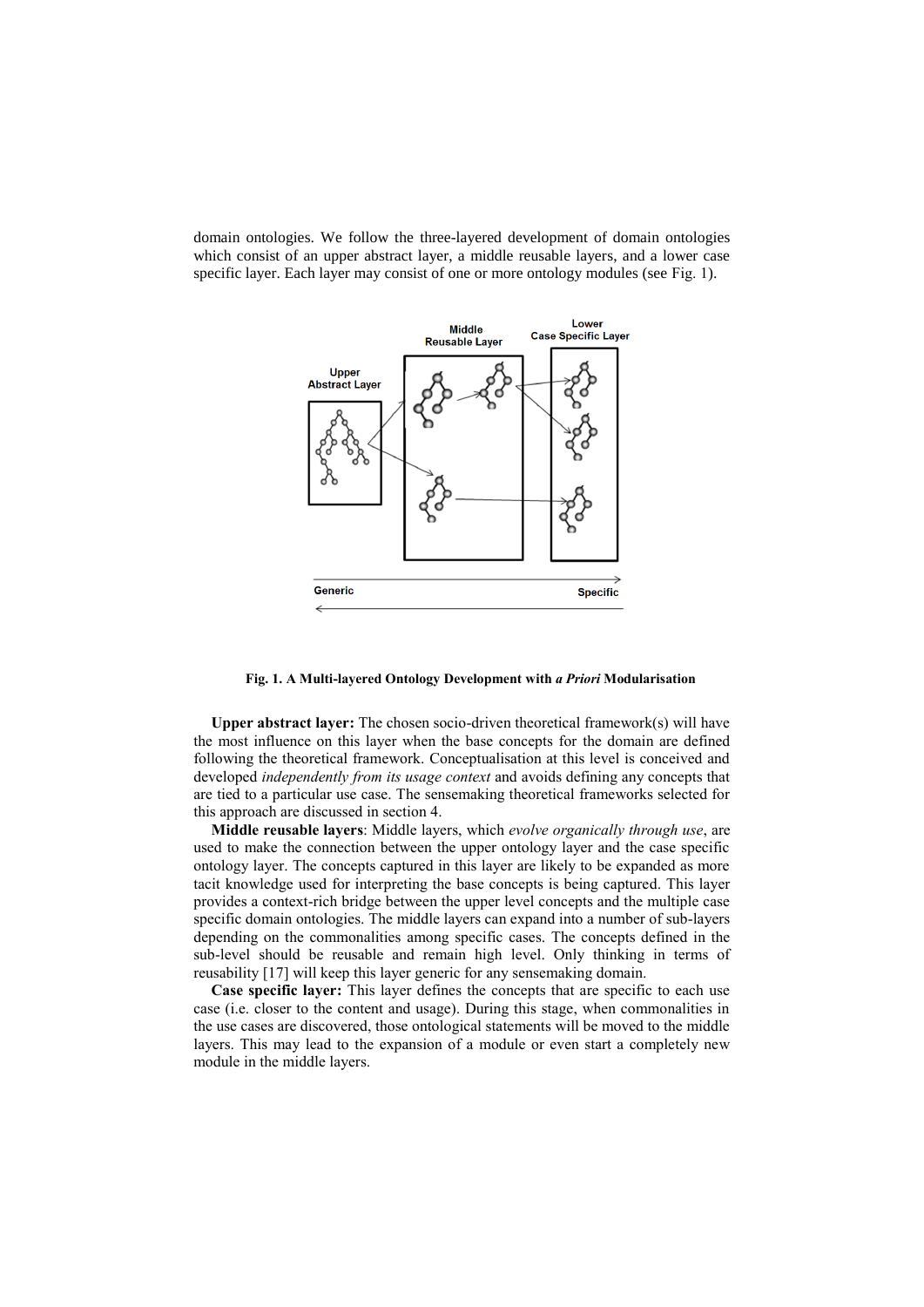domain ontologies. We follow the three-layered development of domain ontologies which consist of an upper abstract layer, a middle reusable layers, and a lower case specific layer. Each layer may consist of one or more ontology modules (see [Fig.](#page-3-0) 1).



#### <span id="page-3-0"></span>**Fig. 1. A Multi-layered Ontology Development with** *a Priori* **Modularisation**

**Upper abstract layer:** The chosen socio-driven theoretical framework(s) will have the most influence on this layer when the base concepts for the domain are defined following the theoretical framework. Conceptualisation at this level is conceived and developed *independently from its usage context* and avoids defining any concepts that are tied to a particular use case. The sensemaking theoretical frameworks selected for this approach are discussed in section 4.

**Middle reusable layers**: Middle layers, which *evolve organically through use*, are used to make the connection between the upper ontology layer and the case specific ontology layer. The concepts captured in this layer are likely to be expanded as more tacit knowledge used for interpreting the base concepts is being captured. This layer provides a context-rich bridge between the upper level concepts and the multiple case specific domain ontologies. The middle layers can expand into a number of sub-layers depending on the commonalities among specific cases. The concepts defined in the sub-level should be reusable and remain high level. Only thinking in terms of reusability [17] will keep this layer generic for any sensemaking domain.

**Case specific layer:** This layer defines the concepts that are specific to each use case (i.e. closer to the content and usage). During this stage, when commonalities in the use cases are discovered, those ontological statements will be moved to the middle layers. This may lead to the expansion of a module or even start a completely new module in the middle layers.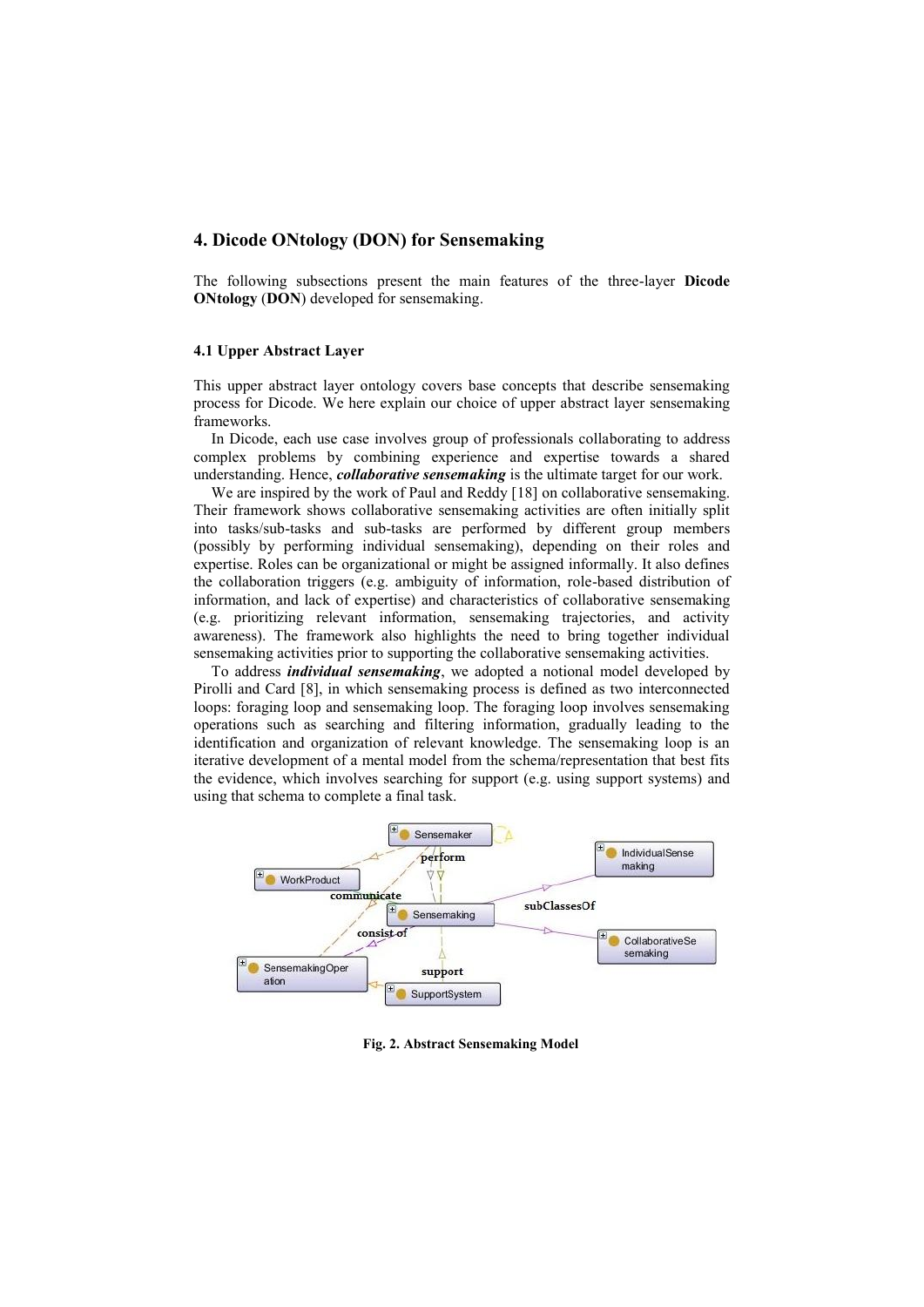#### **4. Dicode ONtology (DON) for Sensemaking**

The following subsections present the main features of the three-layer **Dicode ONtology** (**DON**) developed for sensemaking.

#### **4.1 Upper Abstract Layer**

This upper abstract layer ontology covers base concepts that describe sensemaking process for Dicode. We here explain our choice of upper abstract layer sensemaking frameworks.

In Dicode, each use case involves group of professionals collaborating to address complex problems by combining experience and expertise towards a shared understanding. Hence, *collaborative sensemaking* is the ultimate target for our work.

We are inspired by the work of Paul and Reddy [18] on collaborative sensemaking. Their framework shows collaborative sensemaking activities are often initially split into tasks/sub-tasks and sub-tasks are performed by different group members (possibly by performing individual sensemaking), depending on their roles and expertise. Roles can be organizational or might be assigned informally. It also defines the collaboration triggers (e.g. ambiguity of information, role-based distribution of information, and lack of expertise) and characteristics of collaborative sensemaking (e.g. prioritizing relevant information, sensemaking trajectories, and activity awareness). The framework also highlights the need to bring together individual sensemaking activities prior to supporting the collaborative sensemaking activities.

To address *individual sensemaking*, we adopted a notional model developed by Pirolli and Card [8], in which sensemaking process is defined as two interconnected loops: foraging loop and sensemaking loop. The foraging loop involves sensemaking operations such as searching and filtering information, gradually leading to the identification and organization of relevant knowledge. The sensemaking loop is an iterative development of a mental model from the schema/representation that best fits the evidence, which involves searching for support (e.g. using support systems) and using that schema to complete a final task.



<span id="page-4-0"></span>**Fig. 2. Abstract Sensemaking Model**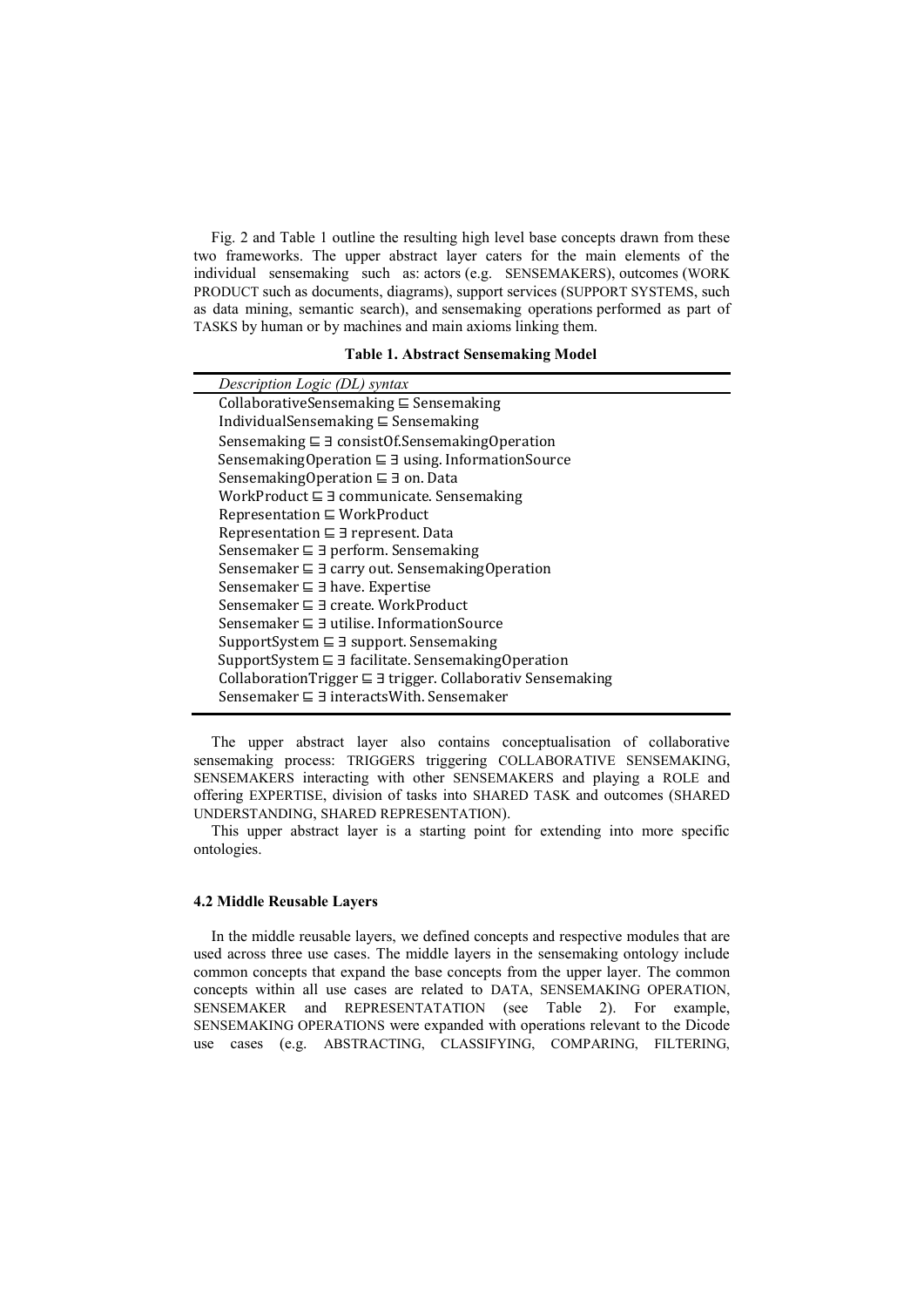[Fig.](#page-4-0) 2 and [Table 1](#page-5-0) outline the resulting high level base concepts drawn from these two frameworks. The upper abstract layer caters for the main elements of the individual sensemaking such as: actors (e.g. SENSEMAKERS), outcomes (WORK PRODUCT such as documents, diagrams), support services (SUPPORT SYSTEMS, such as data mining, semantic search), and sensemaking operations performed as part of TASKS by human or by machines and main axioms linking them.

**Table 1. Abstract Sensemaking Model**

<span id="page-5-0"></span>

| Description Logic (DL) syntax                                         |
|-----------------------------------------------------------------------|
| CollaborativeSensemaking $\subseteq$ Sensemaking                      |
| IndividualSensemaking $\subseteq$ Sensemaking                         |
| Sensemaking $\sqsubseteq \exists$ consist Of. Sensemaking Operation   |
| Sensemaking Operation $\sqsubseteq \exists$ using. Information Source |
| Sensemaking Operation $\sqsubseteq$ 3 on. Data                        |
| WorkProduct $\sqsubseteq$ 3 communicate. Sensemaking                  |
| $Representation \subseteq WorkProduct$                                |
| Representation $\sqsubseteq \exists$ represent. Data                  |
| Sensemaker $\sqsubseteq \exists$ perform. Sensemaking                 |
| Sensemaker $\sqsubseteq$ 3 carry out. Sensemaking Operation           |
| Sensemaker $\sqsubseteq$ 3 have. Expertise                            |
| Sensemaker $\sqsubseteq \exists$ create. WorkProduct                  |
| Sensemaker $\sqsubseteq$ 3 utilise. InformationSource                 |
| SupportSystem $\sqsubseteq \exists$ support. Sensemaking              |
| SupportSystem $\sqsubseteq \exists$ facilitate. SensemakingOperation  |
| CollaborationTrigger ⊑ ∃ trigger. Collaborativ Sensemaking            |
| Sensemaker $\sqsubseteq$ 3 interactsWith. Sensemaker                  |
|                                                                       |

The upper abstract layer also contains conceptualisation of collaborative sensemaking process: TRIGGERS triggering COLLABORATIVE SENSEMAKING, SENSEMAKERS interacting with other SENSEMAKERS and playing a ROLE and offering EXPERTISE, division of tasks into SHARED TASK and outcomes (SHARED UNDERSTANDING, SHARED REPRESENTATION).

This upper abstract layer is a starting point for extending into more specific ontologies.

#### **4.2 Middle Reusable Layers**

In the middle reusable layers, we defined concepts and respective modules that are used across three use cases. The middle layers in the sensemaking ontology include common concepts that expand the base concepts from the upper layer. The common concepts within all use cases are related to DATA, SENSEMAKING OPERATION, SENSEMAKER and REPRESENTATATION (see [Table 2\)](#page-6-0). For example, SENSEMAKING OPERATIONS were expanded with operations relevant to the Dicode use cases (e.g. ABSTRACTING, CLASSIFYING, COMPARING, FILTERING,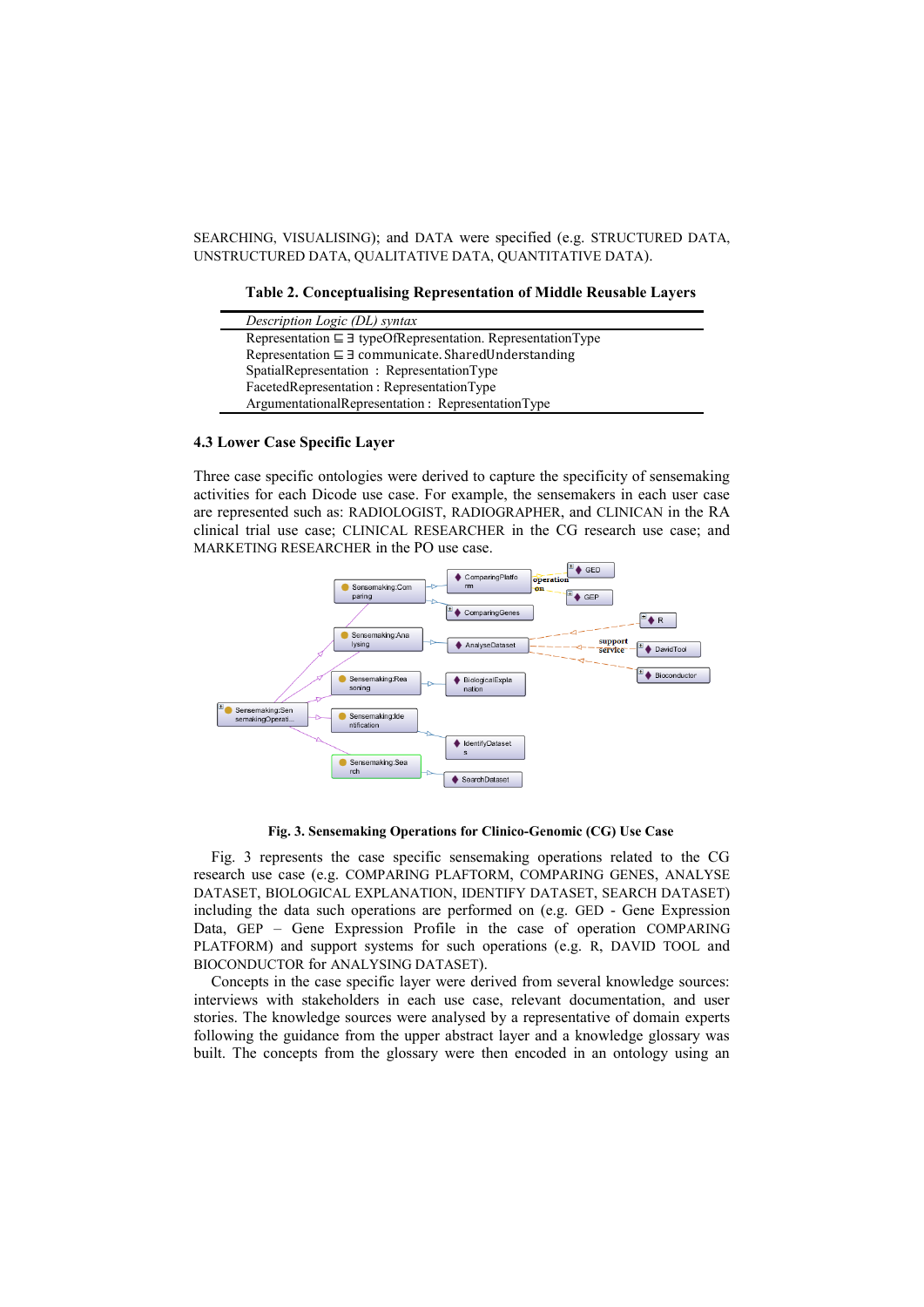<span id="page-6-0"></span>SEARCHING, VISUALISING); and DATA were specified (e.g. STRUCTURED DATA, UNSTRUCTURED DATA, QUALITATIVE DATA, QUANTITATIVE DATA).

**Table 2. Conceptualising Representation of Middle Reusable Layers**

| Description Logic (DL) syntax                                                 |
|-------------------------------------------------------------------------------|
| Representation $\sqsubseteq \exists$ typeOfRepresentation. RepresentationType |
| Representation $\sqsubseteq \exists$ communicate. Shared Understanding        |
| SpatialRepresentation : RepresentationType                                    |
| FacetedRepresentation: RepresentationType                                     |
| ArgumentationalRepresentation: RepresentationType                             |

#### **4.3 Lower Case Specific Layer**

Three case specific ontologies were derived to capture the specificity of sensemaking activities for each Dicode use case. For example, the sensemakers in each user case are represented such as: RADIOLOGIST, RADIOGRAPHER, and CLINICAN in the RA clinical trial use case; CLINICAL RESEARCHER in the CG research use case; and MARKETING RESEARCHER in the PO use case.



**Fig. 3. Sensemaking Operations for Clinico-Genomic (CG) Use Case**

<span id="page-6-1"></span>[Fig.](#page-6-1) 3 represents the case specific sensemaking operations related to the CG research use case (e.g. COMPARING PLAFTORM, COMPARING GENES, ANALYSE DATASET, BIOLOGICAL EXPLANATION, IDENTIFY DATASET, SEARCH DATASET) including the data such operations are performed on (e.g. GED - Gene Expression Data, GEP – Gene Expression Profile in the case of operation COMPARING PLATFORM) and support systems for such operations (e.g. R, DAVID TOOL and BIOCONDUCTOR for ANALYSING DATASET).

Concepts in the case specific layer were derived from several knowledge sources: interviews with stakeholders in each use case, relevant documentation, and user stories. The knowledge sources were analysed by a representative of domain experts following the guidance from the upper abstract layer and a knowledge glossary was built. The concepts from the glossary were then encoded in an ontology using an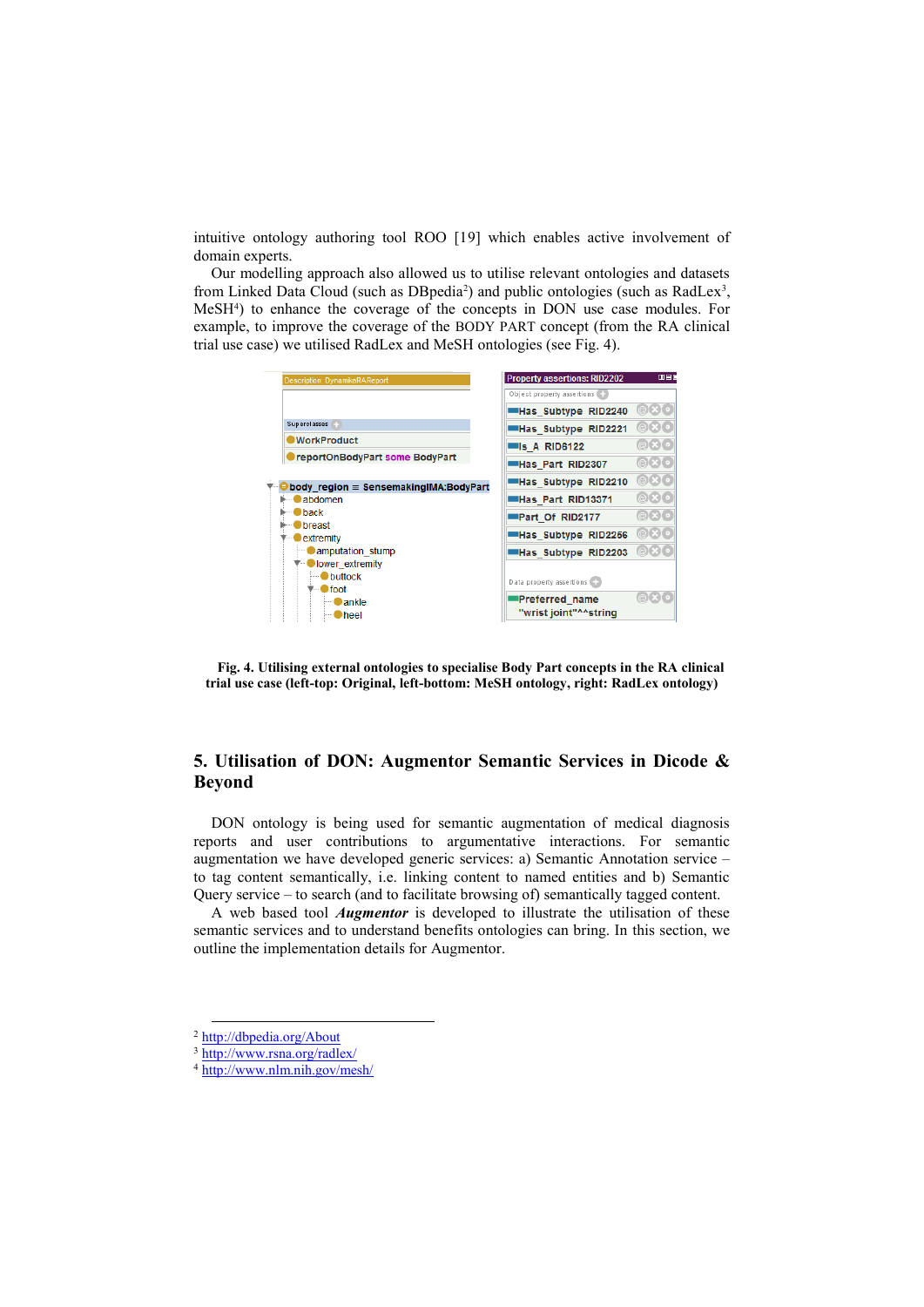intuitive ontology authoring tool ROO [19] which enables active involvement of domain experts.

Our modelling approach also allowed us to utilise relevant ontologies and datasets from Linked Data Cloud (such as DB pedia<sup>2</sup>) and public ontologies (such as RadLex<sup>3</sup>, MeSH<sup>4</sup> ) to enhance the coverage of the concepts in DON use case modules. For example, to improve the coverage of the BODY PART concept (from the RA clinical trial use case) we utilised RadLex and MeSH ontologies (see [Fig.](#page-7-0) 4).



<span id="page-7-0"></span>**Fig. 4. Utilising external ontologies to specialise Body Part concepts in the RA clinical trial use case (left-top: Original, left-bottom: MeSH ontology, right: RadLex ontology)**

## **5. Utilisation of DON: Augmentor Semantic Services in Dicode & Beyond**

DON ontology is being used for semantic augmentation of medical diagnosis reports and user contributions to argumentative interactions. For semantic augmentation we have developed generic services: a) Semantic Annotation service – to tag content semantically, i.e. linking content to named entities and b) Semantic Query service – to search (and to facilitate browsing of) semantically tagged content.

A web based tool *Augmentor* is developed to illustrate the utilisation of these semantic services and to understand benefits ontologies can bring. In this section, we outline the implementation details for Augmentor.

<sup>2</sup> <http://dbpedia.org/About>

<sup>3</sup> <http://www.rsna.org/radlex/>

<sup>4</sup> <http://www.nlm.nih.gov/mesh/>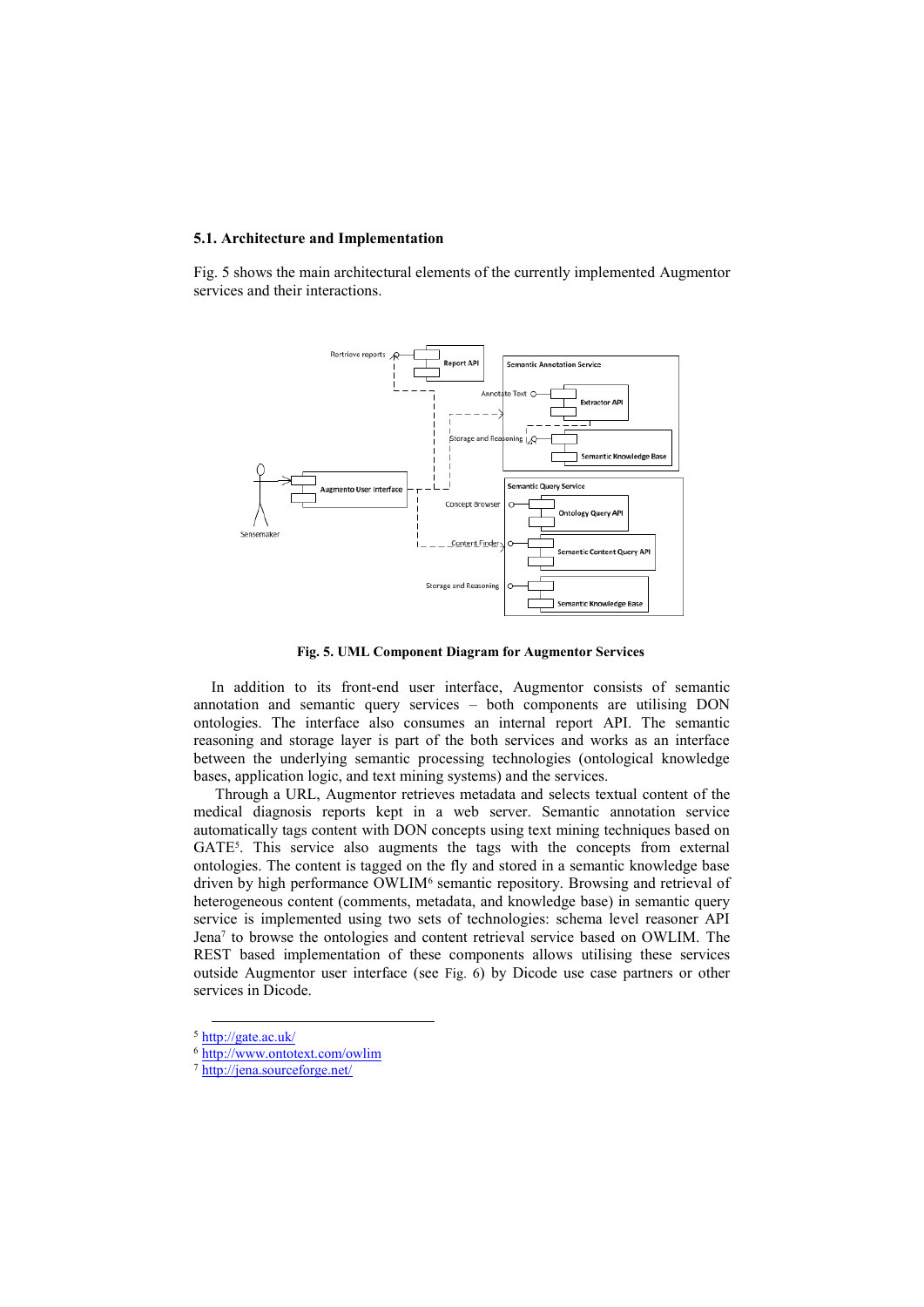#### **5.1. Architecture and Implementation**

[Fig.](#page-8-0) 5 shows the main architectural elements of the currently implemented Augmentor services and their interactions.



**Fig. 5. UML Component Diagram for Augmentor Services**

<span id="page-8-0"></span>In addition to its front-end user interface, Augmentor consists of semantic annotation and semantic query services – both components are utilising DON ontologies. The interface also consumes an internal report API. The semantic reasoning and storage layer is part of the both services and works as an interface between the underlying semantic processing technologies (ontological knowledge bases, application logic, and text mining systems) and the services.

Through a URL, Augmentor retrieves metadata and selects textual content of the medical diagnosis reports kept in a web server. Semantic annotation service automatically tags content with DON concepts using text mining techniques based on GATE<sup>5</sup>. This service also augments the tags with the concepts from external ontologies. The content is tagged on the fly and stored in a semantic knowledge base driven by high performance OWLIM<sup>6</sup> semantic repository. Browsing and retrieval of heterogeneous content (comments, metadata, and knowledge base) in semantic query service is implemented using two sets of technologies: schema level reasoner API Jena<sup>7</sup> to browse the ontologies and content retrieval service based on OWLIM. The REST based implementation of these components allows utilising these services outside Augmentor user interface (see [Fig.](#page-9-0) 6) by Dicode use case partners or other services in Dicode.

<sup>5</sup> <http://gate.ac.uk/>

<sup>6</sup> <http://www.ontotext.com/owlim>

<sup>7</sup> <http://jena.sourceforge.net/>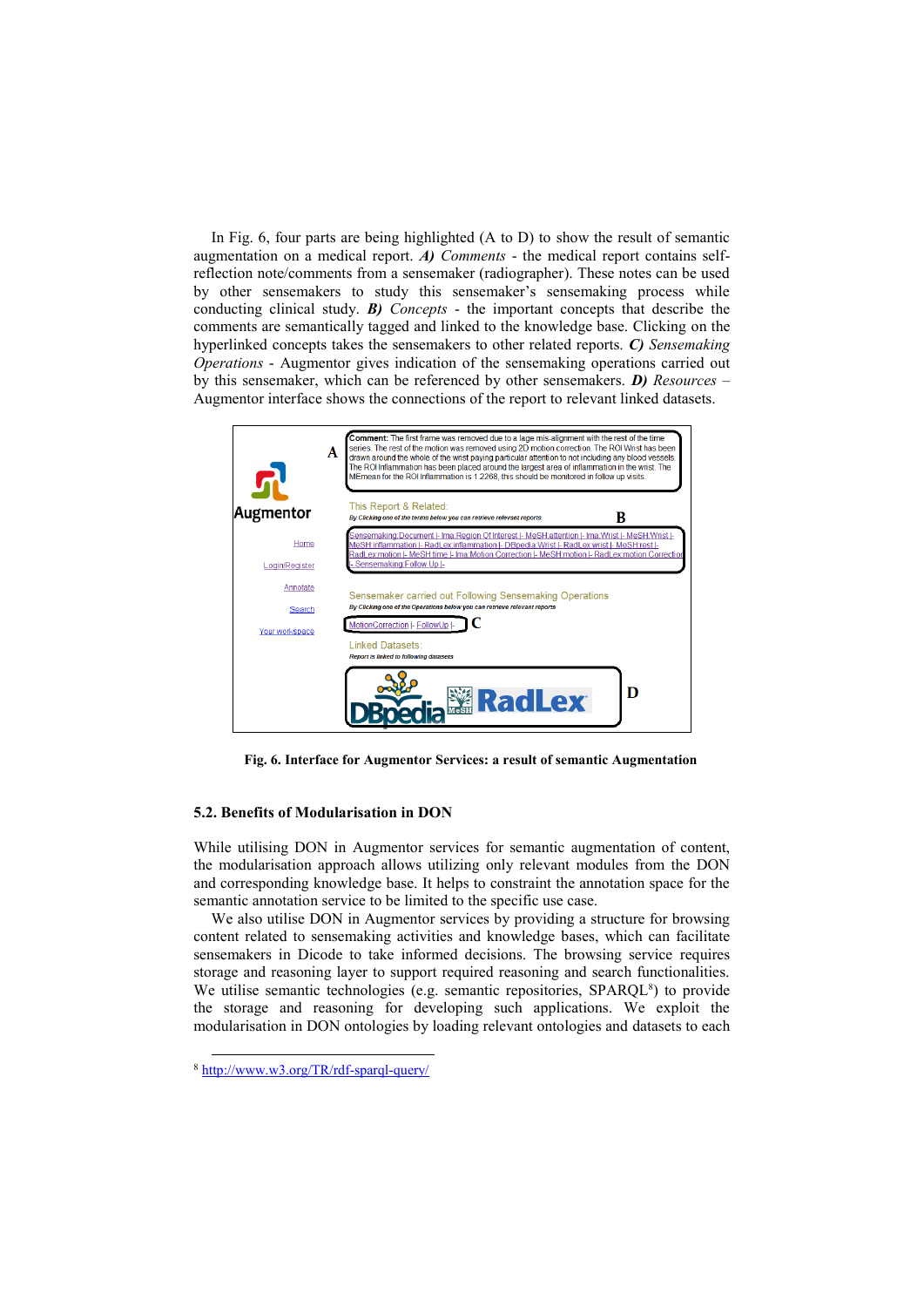In [Fig.](#page-9-0) 6, four parts are being highlighted (A to D) to show the result of semantic augmentation on a medical report. *A) Comments* - the medical report contains selfreflection note/comments from a sensemaker (radiographer). These notes can be used by other sensemakers to study this sensemaker's sensemaking process while conducting clinical study. *B) Concepts* - the important concepts that describe the comments are semantically tagged and linked to the knowledge base. Clicking on the hyperlinked concepts takes the sensemakers to other related reports. *C) Sensemaking Operations* - Augmentor gives indication of the sensemaking operations carried out by this sensemaker, which can be referenced by other sensemakers. *D) Resources* – Augmentor interface shows the connections of the report to relevant linked datasets.



<span id="page-9-0"></span>**Fig. 6. Interface for Augmentor Services: a result of semantic Augmentation**

#### **5.2. Benefits of Modularisation in DON**

While utilising DON in Augmentor services for semantic augmentation of content, the modularisation approach allows utilizing only relevant modules from the DON and corresponding knowledge base. It helps to constraint the annotation space for the semantic annotation service to be limited to the specific use case.

We also utilise DON in Augmentor services by providing a structure for browsing content related to sensemaking activities and knowledge bases, which can facilitate sensemakers in Dicode to take informed decisions. The browsing service requires storage and reasoning layer to support required reasoning and search functionalities. We utilise semantic technologies (e.g. semantic repositories, SPARQL<sup>8</sup>) to provide the storage and reasoning for developing such applications. We exploit the modularisation in DON ontologies by loading relevant ontologies and datasets to each

<sup>8</sup> <http://www.w3.org/TR/rdf-sparql-query/>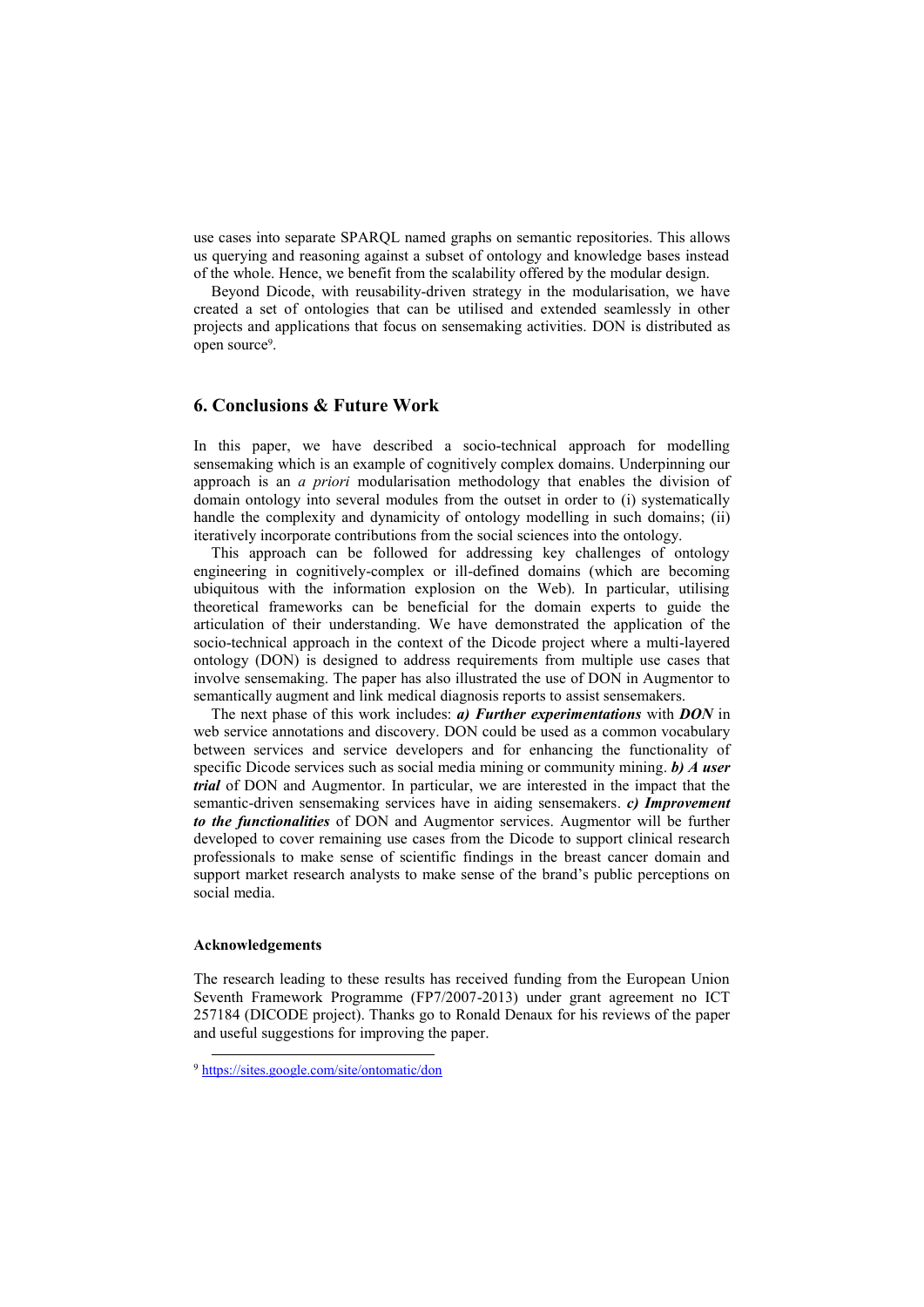use cases into separate SPARQL named graphs on semantic repositories. This allows us querying and reasoning against a subset of ontology and knowledge bases instead of the whole. Hence, we benefit from the scalability offered by the modular design.

Beyond Dicode, with reusability-driven strategy in the modularisation, we have created a set of ontologies that can be utilised and extended seamlessly in other projects and applications that focus on sensemaking activities. DON is distributed as open source<sup>9</sup>.

### **6. Conclusions & Future Work**

In this paper, we have described a socio-technical approach for modelling sensemaking which is an example of cognitively complex domains. Underpinning our approach is an *a priori* modularisation methodology that enables the division of domain ontology into several modules from the outset in order to (i) systematically handle the complexity and dynamicity of ontology modelling in such domains; (ii) iteratively incorporate contributions from the social sciences into the ontology.

This approach can be followed for addressing key challenges of ontology engineering in cognitively-complex or ill-defined domains (which are becoming ubiquitous with the information explosion on the Web). In particular, utilising theoretical frameworks can be beneficial for the domain experts to guide the articulation of their understanding. We have demonstrated the application of the socio-technical approach in the context of the Dicode project where a multi-layered ontology (DON) is designed to address requirements from multiple use cases that involve sensemaking. The paper has also illustrated the use of DON in Augmentor to semantically augment and link medical diagnosis reports to assist sensemakers.

The next phase of this work includes: *a) Further experimentations* with *DON* in web service annotations and discovery. DON could be used as a common vocabulary between services and service developers and for enhancing the functionality of specific Dicode services such as social media mining or community mining. *b) A user trial* of DON and Augmentor. In particular, we are interested in the impact that the semantic-driven sensemaking services have in aiding sensemakers. *c) Improvement to the functionalities* of DON and Augmentor services. Augmentor will be further developed to cover remaining use cases from the Dicode to support clinical research professionals to make sense of scientific findings in the breast cancer domain and support market research analysts to make sense of the brand's public perceptions on social media.

#### **Acknowledgements**

1

The research leading to these results has received funding from the European Union Seventh Framework Programme (FP7/2007-2013) under grant agreement no ICT 257184 (DICODE project). Thanks go to Ronald Denaux for his reviews of the paper and useful suggestions for improving the paper.

<sup>9</sup> <https://sites.google.com/site/ontomatic/don>